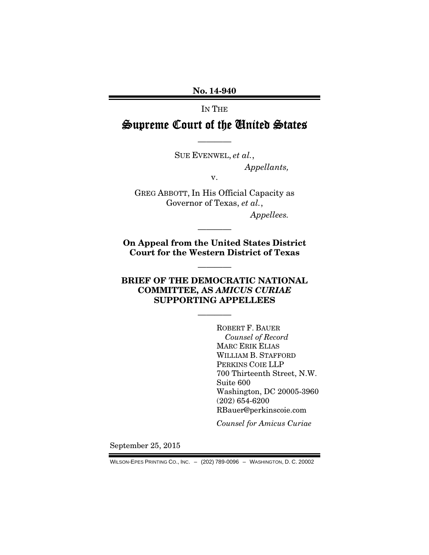No. 14-940

IN THE

Supreme Court of the United States

———— SUE EVENWEL, *et al.*,

*Appellants,* 

v.

GREG ABBOTT, In His Official Capacity as Governor of Texas, *et al.*, *Appellees.* 

On Appeal from the United States District Court for the Western District of Texas

————

————

## BRIEF OF THE DEMOCRATIC NATIONAL COMMITTEE, AS *AMICUS CURIAE* SUPPORTING APPELLEES

————

ROBERT F. BAUER *Counsel of Record*  MARC ERIK ELIAS WILLIAM B. STAFFORD PERKINS COIE LLP 700 Thirteenth Street, N.W. Suite 600 Washington, DC 20005-3960 (202) 654-6200 RBauer@perkinscoie.com

*Counsel for Amicus Curiae* 

September 25, 2015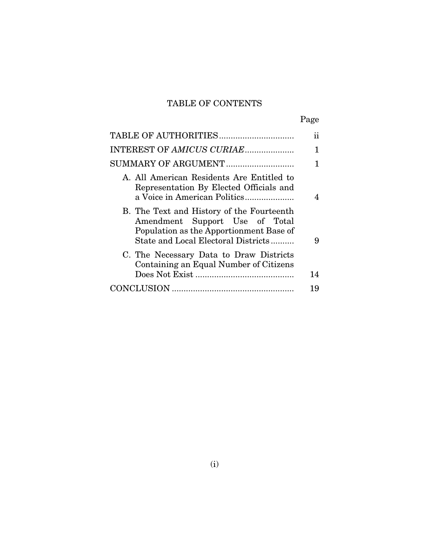## TABLE OF CONTENTS

|--|

|                                                                                                                                                               | 11 |
|---------------------------------------------------------------------------------------------------------------------------------------------------------------|----|
| INTEREST OF AMICUS CURIAE                                                                                                                                     | 1  |
|                                                                                                                                                               |    |
| A. All American Residents Are Entitled to<br>Representation By Elected Officials and                                                                          |    |
| B. The Text and History of the Fourteenth<br>Amendment Support Use of Total<br>Population as the Apportionment Base of<br>State and Local Electoral Districts | 9  |
| C. The Necessary Data to Draw Districts<br>Containing an Equal Number of Citizens                                                                             | 14 |
|                                                                                                                                                               | 19 |
|                                                                                                                                                               |    |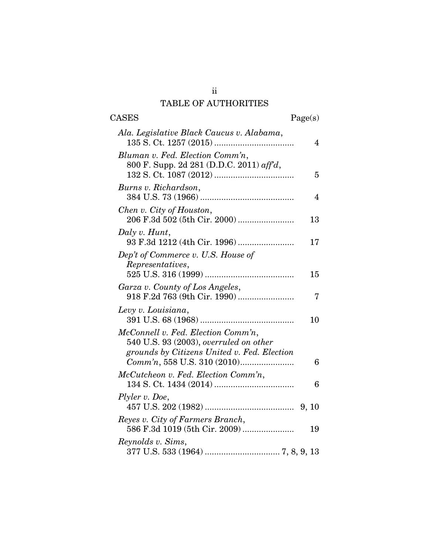## ii TABLE OF AUTHORITIES

| <b>CASES</b>                                                                 | Page(s)        |
|------------------------------------------------------------------------------|----------------|
| Ala. Legislative Black Caucus v. Alabama,                                    | 4              |
| Bluman v. Fed. Election Comm'n,<br>800 F. Supp. 2d 281 (D.D.C. 2011) aff'd,  | 5              |
| Burns v. Richardson,                                                         | $\overline{4}$ |
| Chen v. City of Houston,                                                     | 13             |
| Daly v. Hunt,                                                                | 17             |
| Dep't of Commerce v. U.S. House of<br>Representatives,                       | 15             |
| Garza v. County of Los Angeles,<br>918 F.2d 763 (9th Cir. 1990)              | 7              |
| Levy v. Louisiana,                                                           | 10             |
| McConnell v. Fed. Election Comm'n,<br>540 U.S. 93 (2003), overruled on other |                |
| grounds by Citizens United v. Fed. Election                                  | 6              |
| McCutcheon v. Fed. Election Comm'n,                                          | 6              |
| Plyler v. Doe,                                                               | 9, 10          |
| Reyes v. City of Farmers Branch,<br>586 F.3d 1019 (5th Cir. 2009)            | 19             |
| Reynolds v. Sims,                                                            |                |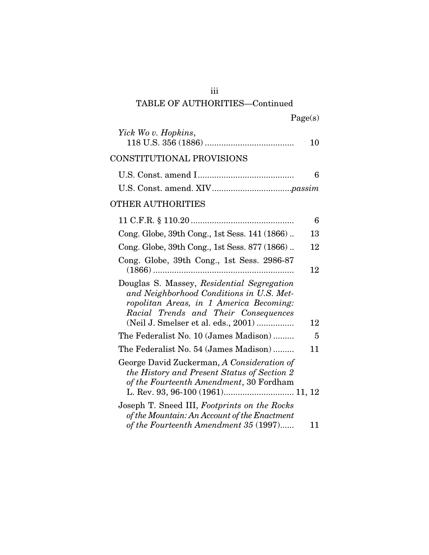## iii

## TABLE OF AUTHORITIES—Continued

| 10 | Yick Wo v. Hopkins,                                                                                                                                                                                              |
|----|------------------------------------------------------------------------------------------------------------------------------------------------------------------------------------------------------------------|
|    | CONSTITUTIONAL PROVISIONS                                                                                                                                                                                        |
| 6  |                                                                                                                                                                                                                  |
|    |                                                                                                                                                                                                                  |
|    | <b>OTHER AUTHORITIES</b>                                                                                                                                                                                         |
| 6  |                                                                                                                                                                                                                  |
| 13 | Cong. Globe, 39th Cong., 1st Sess. 141 (1866)                                                                                                                                                                    |
| 12 | Cong. Globe, 39th Cong., 1st Sess. 877 (1866)                                                                                                                                                                    |
| 12 | Cong. Globe, 39th Cong., 1st Sess. 2986-87                                                                                                                                                                       |
| 12 | Douglas S. Massey, Residential Segregation<br>and Neighborhood Conditions in U.S. Met-<br>ropolitan Areas, in 1 America Becoming:<br>Racial Trends and Their Consequences<br>(Neil J. Smelser et al. eds., 2001) |
| 5  | The Federalist No. 10 (James Madison)                                                                                                                                                                            |
| 11 | The Federalist No. 54 (James Madison)                                                                                                                                                                            |
|    | George David Zuckerman, A Consideration of<br>the History and Present Status of Section 2<br>of the Fourteenth Amendment, 30 Fordham<br>L. Rev. 93, 96-100 (1961) 11, 12                                         |
| 11 | Joseph T. Sneed III, Footprints on the Rocks<br>of the Mountain: An Account of the Enactment<br>of the Fourteenth Amendment 35 (1997)                                                                            |
|    |                                                                                                                                                                                                                  |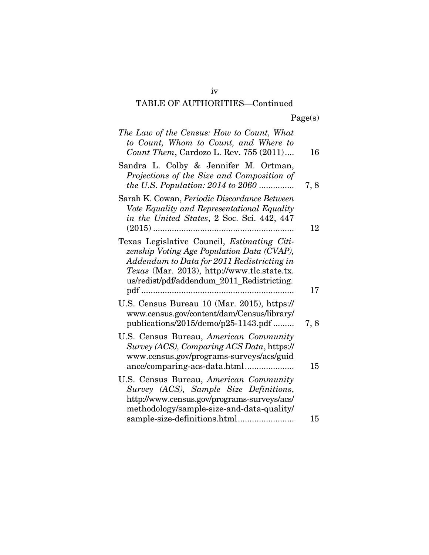# TABLE OF AUTHORITIES—Continued

| The Law of the Census: How to Count, What<br>to Count, Whom to Count, and Where to<br>Count Them, Cardozo L. Rev. 755 (2011)                                                                                                                | 16        |
|---------------------------------------------------------------------------------------------------------------------------------------------------------------------------------------------------------------------------------------------|-----------|
| Sandra L. Colby & Jennifer M. Ortman,<br>Projections of the Size and Composition of<br>the U.S. Population: $2014$ to $2060$                                                                                                                | 7, 8      |
| Sarah K. Cowan, Periodic Discordance Between<br>Vote Equality and Representational Equality<br>in the United States, 2 Soc. Sci. 442, 447                                                                                                   | 12        |
| Texas Legislative Council, <i>Estimating Citi-</i><br>zenship Voting Age Population Data (CVAP),<br>Addendum to Data for 2011 Redistricting in<br>Texas (Mar. 2013), http://www.tlc.state.tx.<br>us/redist/pdf/addendum_2011_Redistricting. |           |
| U.S. Census Bureau 10 (Mar. 2015), https://<br>www.census.gov/content/dam/Census/library/<br>publications/2015/demo/p25-1143.pdf                                                                                                            | 17<br>7,8 |
| U.S. Census Bureau, American Community<br>Survey (ACS), Comparing ACS Data, https://<br>www.census.gov/programs-surveys/acs/guid                                                                                                            | 15        |
| U.S. Census Bureau, American Community<br>Survey (ACS), Sample Size Definitions,<br>http://www.census.gov/programs-surveys/acs/<br>methodology/sample-size-and-data-quality/                                                                |           |
| sample-size-definitions.html                                                                                                                                                                                                                | 15        |

iv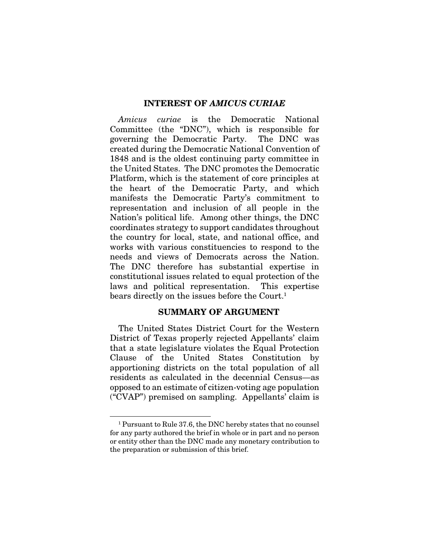#### INTEREST OF *AMICUS CURIAE*

*Amicus curiae* is the Democratic National Committee (the "DNC"), which is responsible for governing the Democratic Party. The DNC was created during the Democratic National Convention of 1848 and is the oldest continuing party committee in the United States. The DNC promotes the Democratic Platform, which is the statement of core principles at the heart of the Democratic Party, and which manifests the Democratic Party's commitment to representation and inclusion of all people in the Nation's political life. Among other things, the DNC coordinates strategy to support candidates throughout the country for local, state, and national office, and works with various constituencies to respond to the needs and views of Democrats across the Nation. The DNC therefore has substantial expertise in constitutional issues related to equal protection of the laws and political representation. This expertise bears directly on the issues before the Court.<sup>1</sup>

### SUMMARY OF ARGUMENT

The United States District Court for the Western District of Texas properly rejected Appellants' claim that a state legislature violates the Equal Protection Clause of the United States Constitution by apportioning districts on the total population of all residents as calculated in the decennial Census—as opposed to an estimate of citizen-voting age population ("CVAP") premised on sampling. Appellants' claim is

<sup>1</sup> Pursuant to Rule 37.6, the DNC hereby states that no counsel for any party authored the brief in whole or in part and no person or entity other than the DNC made any monetary contribution to the preparation or submission of this brief.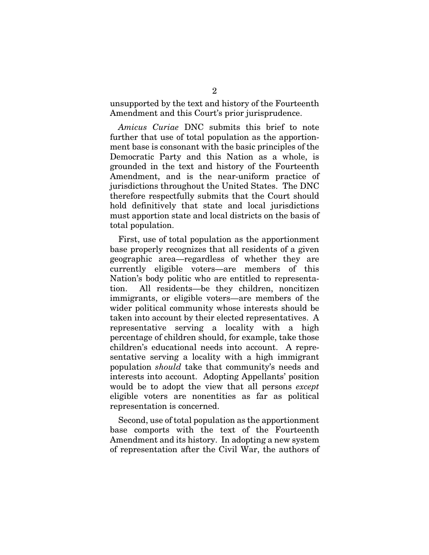unsupported by the text and history of the Fourteenth Amendment and this Court's prior jurisprudence.

*Amicus Curiae* DNC submits this brief to note further that use of total population as the apportionment base is consonant with the basic principles of the Democratic Party and this Nation as a whole, is grounded in the text and history of the Fourteenth Amendment, and is the near-uniform practice of jurisdictions throughout the United States. The DNC therefore respectfully submits that the Court should hold definitively that state and local jurisdictions must apportion state and local districts on the basis of total population.

First, use of total population as the apportionment base properly recognizes that all residents of a given geographic area—regardless of whether they are currently eligible voters—are members of this Nation's body politic who are entitled to representation. All residents—be they children, noncitizen immigrants, or eligible voters—are members of the wider political community whose interests should be taken into account by their elected representatives. A representative serving a locality with a high percentage of children should, for example, take those children's educational needs into account. A representative serving a locality with a high immigrant population *should* take that community's needs and interests into account. Adopting Appellants' position would be to adopt the view that all persons *except* eligible voters are nonentities as far as political representation is concerned.

Second, use of total population as the apportionment base comports with the text of the Fourteenth Amendment and its history. In adopting a new system of representation after the Civil War, the authors of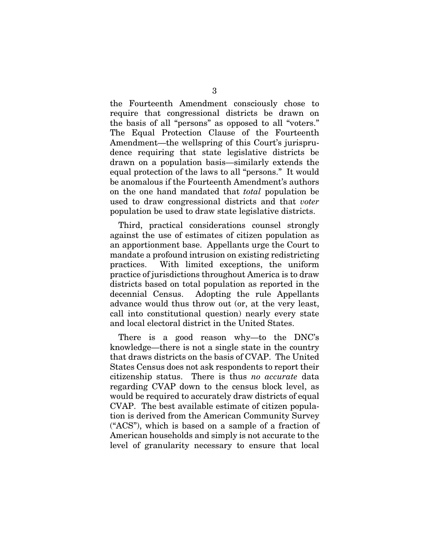the Fourteenth Amendment consciously chose to require that congressional districts be drawn on the basis of all "persons" as opposed to all "voters." The Equal Protection Clause of the Fourteenth Amendment—the wellspring of this Court's jurisprudence requiring that state legislative districts be drawn on a population basis—similarly extends the equal protection of the laws to all "persons." It would be anomalous if the Fourteenth Amendment's authors on the one hand mandated that *total* population be used to draw congressional districts and that *voter*  population be used to draw state legislative districts.

Third, practical considerations counsel strongly against the use of estimates of citizen population as an apportionment base. Appellants urge the Court to mandate a profound intrusion on existing redistricting practices. With limited exceptions, the uniform practice of jurisdictions throughout America is to draw districts based on total population as reported in the decennial Census. Adopting the rule Appellants advance would thus throw out (or, at the very least, call into constitutional question) nearly every state and local electoral district in the United States.

There is a good reason why—to the DNC's knowledge—there is not a single state in the country that draws districts on the basis of CVAP. The United States Census does not ask respondents to report their citizenship status. There is thus *no accurate* data regarding CVAP down to the census block level, as would be required to accurately draw districts of equal CVAP. The best available estimate of citizen population is derived from the American Community Survey ("ACS"), which is based on a sample of a fraction of American households and simply is not accurate to the level of granularity necessary to ensure that local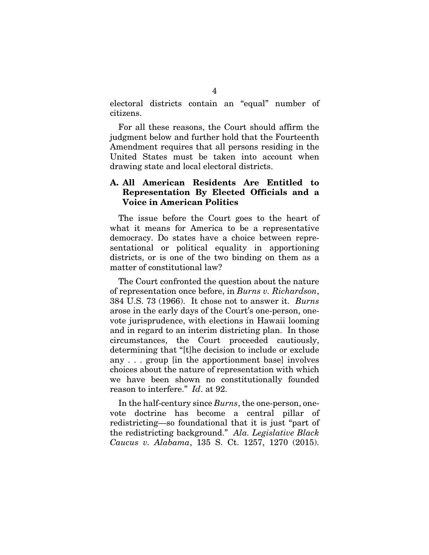electoral districts contain an "equal" number of citizens.

For all these reasons, the Court should affirm the judgment below and further hold that the Fourteenth Amendment requires that all persons residing in the United States must be taken into account when drawing state and local electoral districts.

## A. All American Residents Are Entitled to Representation By Elected Officials and a Voice in American Politics

The issue before the Court goes to the heart of what it means for America to be a representative democracy. Do states have a choice between representational or political equality in apportioning districts, or is one of the two binding on them as a matter of constitutional law?

The Court confronted the question about the nature of representation once before, in *Burns v. Richardson*, 384 U.S. 73 (1966). It chose not to answer it. *Burns* arose in the early days of the Court's one-person, onevote jurisprudence, with elections in Hawaii looming and in regard to an interim districting plan. In those circumstances, the Court proceeded cautiously, determining that "[t]he decision to include or exclude any . . . group [in the apportionment base] involves choices about the nature of representation with which we have been shown no constitutionally founded reason to interfere." *Id*. at 92.

In the half-century since *Burns*, the one-person, onevote doctrine has become a central pillar of redistricting—so foundational that it is just "part of the redistricting background." *Ala. Legislative Black Caucus v. Alabama*, 135 S. Ct. 1257, 1270 (2015).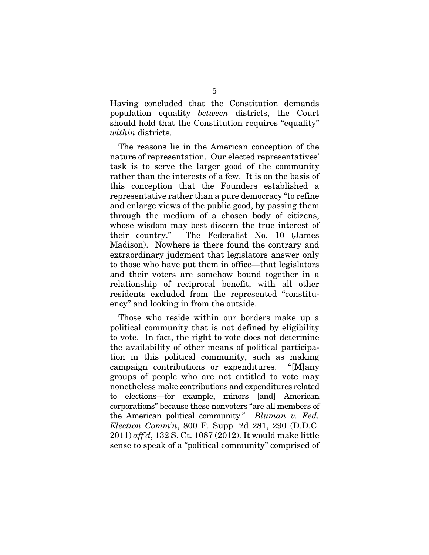Having concluded that the Constitution demands population equality *between* districts, the Court should hold that the Constitution requires "equality" *within* districts.

The reasons lie in the American conception of the nature of representation. Our elected representatives' task is to serve the larger good of the community rather than the interests of a few. It is on the basis of this conception that the Founders established a representative rather than a pure democracy "to refine and enlarge views of the public good, by passing them through the medium of a chosen body of citizens, whose wisdom may best discern the true interest of their country." The Federalist No. 10 (James Madison). Nowhere is there found the contrary and extraordinary judgment that legislators answer only to those who have put them in office—that legislators and their voters are somehow bound together in a relationship of reciprocal benefit, with all other residents excluded from the represented "constituency" and looking in from the outside.

Those who reside within our borders make up a political community that is not defined by eligibility to vote. In fact, the right to vote does not determine the availability of other means of political participation in this political community, such as making campaign contributions or expenditures. "[M]any groups of people who are not entitled to vote may nonetheless make contributions and expenditures related to elections—for example, minors [and] American corporations" because these nonvoters "are all members of the American political community." *Bluman v. Fed. Election Comm'n*, 800 F. Supp. 2d 281, 290 (D.D.C. 2011) *aff'd*, 132 S. Ct. 1087 (2012). It would make little sense to speak of a "political community" comprised of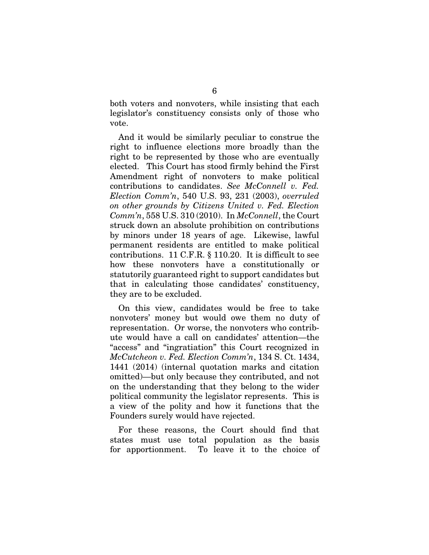both voters and nonvoters, while insisting that each legislator's constituency consists only of those who vote.

And it would be similarly peculiar to construe the right to influence elections more broadly than the right to be represented by those who are eventually elected. This Court has stood firmly behind the First Amendment right of nonvoters to make political contributions to candidates. *See McConnell v. Fed. Election Comm'n*, 540 U.S. 93, 231 (2003), *overruled on other grounds by Citizens United v. Fed. Election Comm'n*, 558 U.S. 310 (2010). In *McConnell*, the Court struck down an absolute prohibition on contributions by minors under 18 years of age. Likewise, lawful permanent residents are entitled to make political contributions. 11 C.F.R. § 110.20. It is difficult to see how these nonvoters have a constitutionally or statutorily guaranteed right to support candidates but that in calculating those candidates' constituency, they are to be excluded.

On this view, candidates would be free to take nonvoters' money but would owe them no duty of representation. Or worse, the nonvoters who contribute would have a call on candidates' attention—the "access" and "ingratiation" this Court recognized in *McCutcheon v. Fed. Election Comm'n*, 134 S. Ct. 1434, 1441 (2014) (internal quotation marks and citation omitted)—but only because they contributed, and not on the understanding that they belong to the wider political community the legislator represents. This is a view of the polity and how it functions that the Founders surely would have rejected.

For these reasons, the Court should find that states must use total population as the basis for apportionment. To leave it to the choice of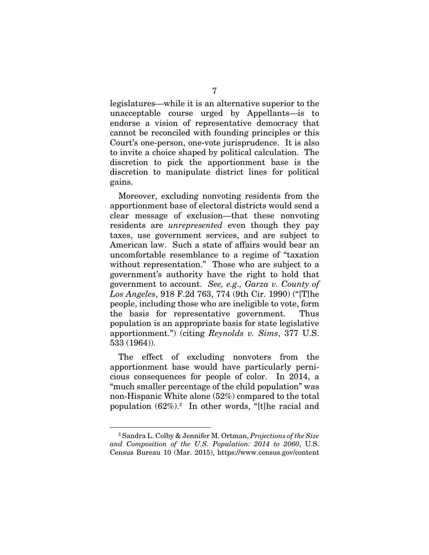legislatures—while it is an alternative superior to the unacceptable course urged by Appellants—is to endorse a vision of representative democracy that cannot be reconciled with founding principles or this Court's one-person, one-vote jurisprudence. It is also to invite a choice shaped by political calculation. The discretion to pick the apportionment base is the discretion to manipulate district lines for political gains.

Moreover, excluding nonvoting residents from the apportionment base of electoral districts would send a clear message of exclusion—that these nonvoting residents are *unrepresented* even though they pay taxes, use government services, and are subject to American law. Such a state of affairs would bear an uncomfortable resemblance to a regime of "taxation without representation." Those who are subject to a government's authority have the right to hold that government to account. *See, e.g., Garza v. County of Los Angeles*, 918 F.2d 763, 774 (9th Cir. 1990) ("[T]he people, including those who are ineligible to vote, form the basis for representative government. Thus population is an appropriate basis for state legislative apportionment.") (citing *Reynolds v. Sims*, 377 U.S. 533 (1964)).

The effect of excluding nonvoters from the apportionment base would have particularly pernicious consequences for people of color. In 2014, a "much smaller percentage of the child population" was non-Hispanic White alone (52%) compared to the total population (62%).2 In other words, "[t]he racial and

<sup>2</sup> Sandra L. Colby & Jennifer M. Ortman, *Projections of the Size and Composition of the U.S. Population: 2014 to 2060*, U.S. Census Bureau 10 (Mar. 2015), https://www.census.gov/content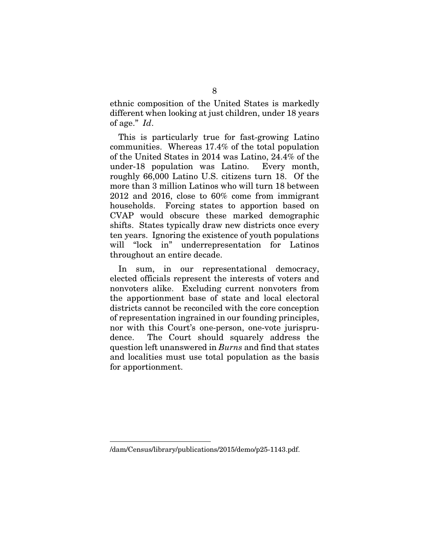ethnic composition of the United States is markedly different when looking at just children, under 18 years of age." *Id*.

This is particularly true for fast-growing Latino communities. Whereas 17.4% of the total population of the United States in 2014 was Latino, 24.4% of the under-18 population was Latino. Every month, roughly 66,000 Latino U.S. citizens turn 18. Of the more than 3 million Latinos who will turn 18 between 2012 and 2016, close to 60% come from immigrant households. Forcing states to apportion based on CVAP would obscure these marked demographic shifts. States typically draw new districts once every ten years. Ignoring the existence of youth populations will "lock in" underrepresentation for Latinos throughout an entire decade.

In sum, in our representational democracy, elected officials represent the interests of voters and nonvoters alike. Excluding current nonvoters from the apportionment base of state and local electoral districts cannot be reconciled with the core conception of representation ingrained in our founding principles, nor with this Court's one-person, one-vote jurisprudence. The Court should squarely address the question left unanswered in *Burns* and find that states and localities must use total population as the basis for apportionment.

<sup>/</sup>dam/Census/library/publications/2015/demo/p25-1143.pdf.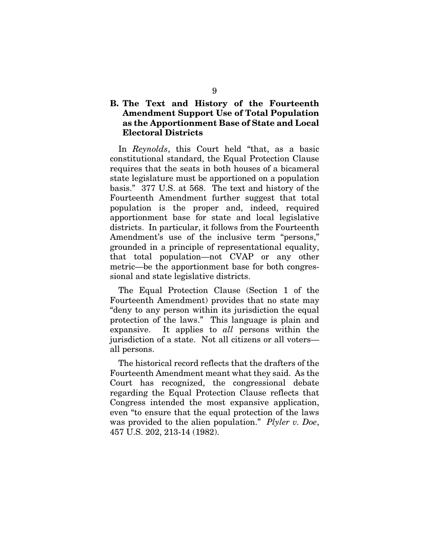## B. The Text and History of the Fourteenth Amendment Support Use of Total Population as the Apportionment Base of State and Local Electoral Districts

In *Reynolds*, this Court held "that, as a basic constitutional standard, the Equal Protection Clause requires that the seats in both houses of a bicameral state legislature must be apportioned on a population basis." 377 U.S. at 568. The text and history of the Fourteenth Amendment further suggest that total population is the proper and, indeed, required apportionment base for state and local legislative districts. In particular, it follows from the Fourteenth Amendment's use of the inclusive term "persons," grounded in a principle of representational equality, that total population—not CVAP or any other metric—be the apportionment base for both congressional and state legislative districts.

The Equal Protection Clause (Section 1 of the Fourteenth Amendment) provides that no state may "deny to any person within its jurisdiction the equal protection of the laws." This language is plain and expansive. It applies to *all* persons within the jurisdiction of a state. Not all citizens or all voters all persons.

The historical record reflects that the drafters of the Fourteenth Amendment meant what they said. As the Court has recognized, the congressional debate regarding the Equal Protection Clause reflects that Congress intended the most expansive application, even "to ensure that the equal protection of the laws was provided to the alien population." *Plyler v. Doe*, 457 U.S. 202, 213-14 (1982).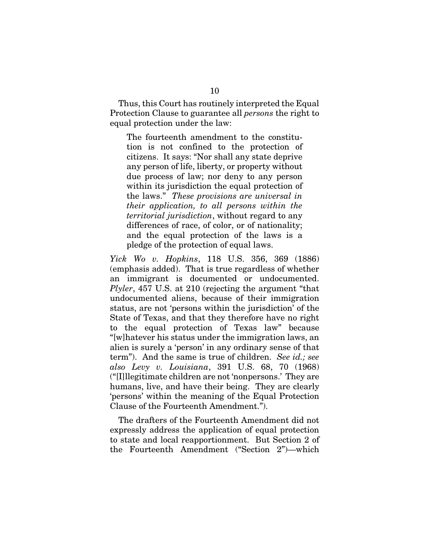Thus, this Court has routinely interpreted the Equal Protection Clause to guarantee all *persons* the right to equal protection under the law:

The fourteenth amendment to the constitution is not confined to the protection of citizens. It says: "Nor shall any state deprive any person of life, liberty, or property without due process of law; nor deny to any person within its jurisdiction the equal protection of the laws." *These provisions are universal in their application, to all persons within the territorial jurisdiction*, without regard to any differences of race, of color, or of nationality; and the equal protection of the laws is a pledge of the protection of equal laws.

*Yick Wo v. Hopkins*, 118 U.S. 356, 369 (1886) (emphasis added). That is true regardless of whether an immigrant is documented or undocumented. *Plyler*, 457 U.S. at 210 (rejecting the argument "that undocumented aliens, because of their immigration status, are not 'persons within the jurisdiction' of the State of Texas, and that they therefore have no right to the equal protection of Texas law" because "[w]hatever his status under the immigration laws, an alien is surely a 'person' in any ordinary sense of that term"). And the same is true of children. *See id.; see also Levy v. Louisiana*, 391 U.S. 68, 70 (1968) ("[I]llegitimate children are not 'nonpersons.' They are humans, live, and have their being. They are clearly 'persons' within the meaning of the Equal Protection Clause of the Fourteenth Amendment.").

The drafters of the Fourteenth Amendment did not expressly address the application of equal protection to state and local reapportionment. But Section 2 of the Fourteenth Amendment ("Section 2")—which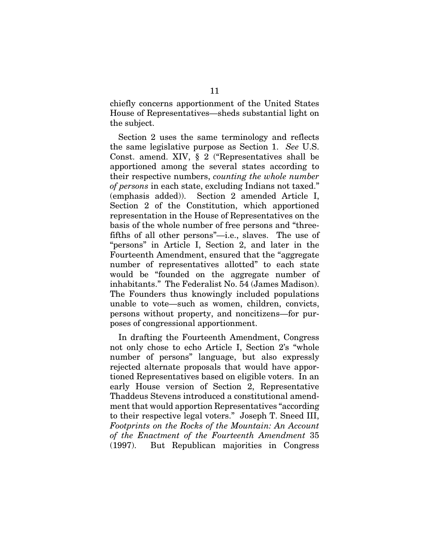chiefly concerns apportionment of the United States House of Representatives—sheds substantial light on the subject.

Section 2 uses the same terminology and reflects the same legislative purpose as Section 1. *See* U.S. Const. amend. XIV, § 2 ("Representatives shall be apportioned among the several states according to their respective numbers, *counting the whole number of persons* in each state, excluding Indians not taxed." (emphasis added)). Section 2 amended Article I, Section 2 of the Constitution, which apportioned representation in the House of Representatives on the basis of the whole number of free persons and "threefifths of all other persons"—i.e., slaves. The use of "persons" in Article I, Section 2, and later in the Fourteenth Amendment, ensured that the "aggregate number of representatives allotted" to each state would be "founded on the aggregate number of inhabitants." The Federalist No. 54 (James Madison). The Founders thus knowingly included populations unable to vote—such as women, children, convicts, persons without property, and noncitizens—for purposes of congressional apportionment.

In drafting the Fourteenth Amendment, Congress not only chose to echo Article I, Section 2's "whole number of persons" language, but also expressly rejected alternate proposals that would have apportioned Representatives based on eligible voters. In an early House version of Section 2, Representative Thaddeus Stevens introduced a constitutional amendment that would apportion Representatives "according to their respective legal voters." Joseph T. Sneed III, *Footprints on the Rocks of the Mountain: An Account of the Enactment of the Fourteenth Amendment* 35 (1997). But Republican majorities in Congress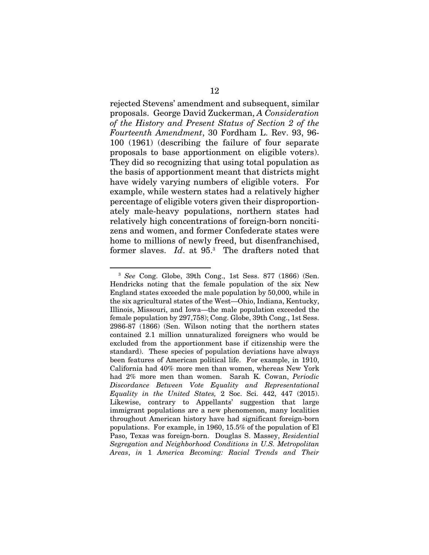rejected Stevens' amendment and subsequent, similar proposals. George David Zuckerman, *A Consideration of the History and Present Status of Section 2 of the Fourteenth Amendment*, 30 Fordham L. Rev. 93, 96- 100 (1961) (describing the failure of four separate proposals to base apportionment on eligible voters). They did so recognizing that using total population as the basis of apportionment meant that districts might have widely varying numbers of eligible voters. For example, while western states had a relatively higher percentage of eligible voters given their disproportionately male-heavy populations, northern states had relatively high concentrations of foreign-born noncitizens and women, and former Confederate states were home to millions of newly freed, but disenfranchised, former slaves. *Id*. at 95.3 The drafters noted that

<sup>3</sup> *See* Cong. Globe, 39th Cong., 1st Sess. 877 (1866) (Sen. Hendricks noting that the female population of the six New England states exceeded the male population by 50,000, while in the six agricultural states of the West—Ohio, Indiana, Kentucky, Illinois, Missouri, and Iowa—the male population exceeded the female population by 297,758); Cong. Globe, 39th Cong., 1st Sess. 2986-87 (1866) (Sen. Wilson noting that the northern states contained 2.1 million unnaturalized foreigners who would be excluded from the apportionment base if citizenship were the standard). These species of population deviations have always been features of American political life. For example, in 1910, California had 40% more men than women, whereas New York had 2% more men than women. Sarah K. Cowan, *Periodic Discordance Between Vote Equality and Representational Equality in the United States,* 2 Soc. Sci. 442, 447 (2015). Likewise, contrary to Appellants' suggestion that large immigrant populations are a new phenomenon, many localities throughout American history have had significant foreign-born populations. For example, in 1960, 15.5% of the population of El Paso, Texas was foreign-born. Douglas S. Massey, *Residential Segregation and Neighborhood Conditions in U.S. Metropolitan Areas*, *in* 1 *America Becoming: Racial Trends and Their*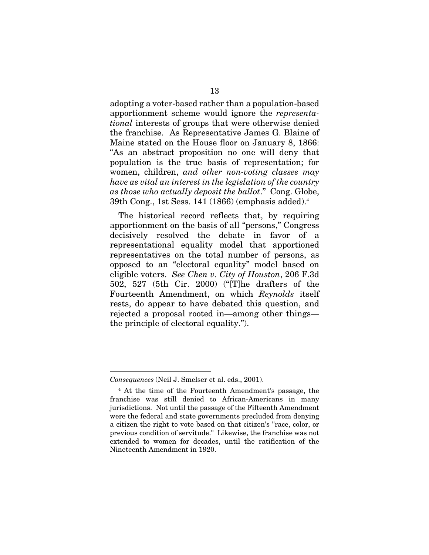adopting a voter-based rather than a population-based apportionment scheme would ignore the *representational* interests of groups that were otherwise denied the franchise. As Representative James G. Blaine of Maine stated on the House floor on January 8, 1866: "As an abstract proposition no one will deny that population is the true basis of representation; for women, children, *and other non-voting classes may have as vital an interest in the legislation of the country as those who actually deposit the ballot*." Cong. Globe, 39th Cong., 1st Sess. 141 (1866) (emphasis added).4

The historical record reflects that, by requiring apportionment on the basis of all "persons," Congress decisively resolved the debate in favor of a representational equality model that apportioned representatives on the total number of persons, as opposed to an "electoral equality" model based on eligible voters. *See Chen v. City of Houston*, 206 F.3d 502, 527 (5th Cir. 2000) ("[T]he drafters of the Fourteenth Amendment, on which *Reynolds* itself rests, do appear to have debated this question, and rejected a proposal rooted in—among other things the principle of electoral equality.").

*Consequences* (Neil J. Smelser et al. eds., 2001).

<sup>4</sup> At the time of the Fourteenth Amendment's passage, the franchise was still denied to African-Americans in many jurisdictions. Not until the passage of the Fifteenth Amendment were the federal and state governments precluded from denying a citizen the right to vote based on that citizen's "race, color, or previous condition of servitude." Likewise, the franchise was not extended to women for decades, until the ratification of the Nineteenth Amendment in 1920.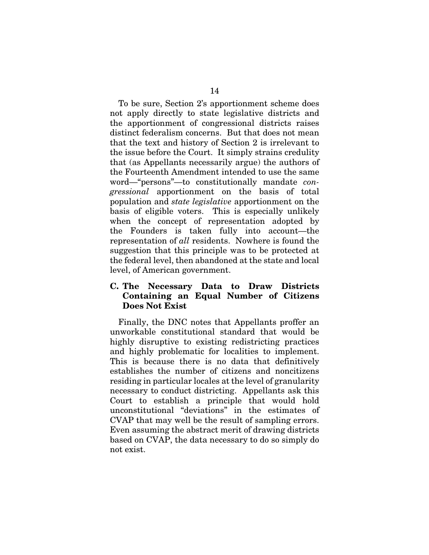To be sure, Section 2's apportionment scheme does not apply directly to state legislative districts and the apportionment of congressional districts raises distinct federalism concerns. But that does not mean that the text and history of Section 2 is irrelevant to the issue before the Court. It simply strains credulity that (as Appellants necessarily argue) the authors of the Fourteenth Amendment intended to use the same word—"persons"—to constitutionally mandate *congressional* apportionment on the basis of total population and *state legislative* apportionment on the basis of eligible voters. This is especially unlikely when the concept of representation adopted by the Founders is taken fully into account—the representation of *all* residents. Nowhere is found the suggestion that this principle was to be protected at the federal level, then abandoned at the state and local level, of American government.

## C. The Necessary Data to Draw Districts Containing an Equal Number of Citizens Does Not Exist

Finally, the DNC notes that Appellants proffer an unworkable constitutional standard that would be highly disruptive to existing redistricting practices and highly problematic for localities to implement. This is because there is no data that definitively establishes the number of citizens and noncitizens residing in particular locales at the level of granularity necessary to conduct districting. Appellants ask this Court to establish a principle that would hold unconstitutional "deviations" in the estimates of CVAP that may well be the result of sampling errors. Even assuming the abstract merit of drawing districts based on CVAP, the data necessary to do so simply do not exist.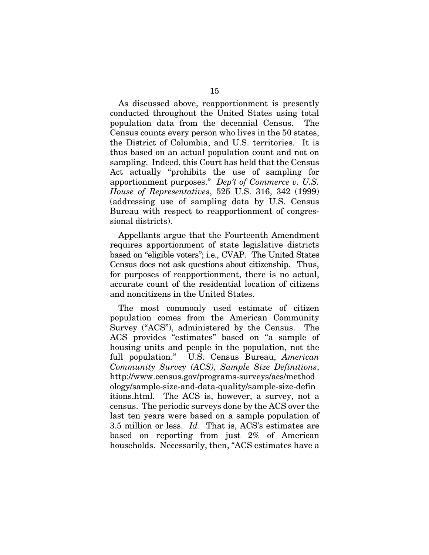As discussed above, reapportionment is presently conducted throughout the United States using total population data from the decennial Census. The Census counts every person who lives in the 50 states, the District of Columbia, and U.S. territories. It is thus based on an actual population count and not on sampling. Indeed, this Court has held that the Census Act actually "prohibits the use of sampling for apportionment purposes." *Dep't of Commerce v. U.S. House of Representatives*, 525 U.S. 316, 342 (1999) (addressing use of sampling data by U.S. Census Bureau with respect to reapportionment of congressional districts).

Appellants argue that the Fourteenth Amendment requires apportionment of state legislative districts based on "eligible voters"; i.e., CVAP. The United States Census does not ask questions about citizenship. Thus, for purposes of reapportionment, there is no actual, accurate count of the residential location of citizens and noncitizens in the United States.

The most commonly used estimate of citizen population comes from the American Community Survey ("ACS"), administered by the Census. The ACS provides "estimates" based on "a sample of housing units and people in the population, not the full population." U.S. Census Bureau, *American Community Survey (ACS), Sample Size Definitions*, http://www.census.gov/programs-surveys/acs/method ology/sample-size-and-data-quality/sample-size-defin itions.html. The ACS is, however, a survey, not a census. The periodic surveys done by the ACS over the last ten years were based on a sample population of 3.5 million or less. *Id*. That is, ACS's estimates are based on reporting from just 2% of American households. Necessarily, then, "ACS estimates have a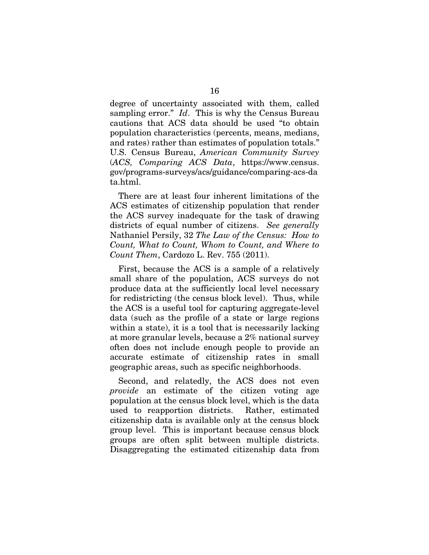degree of uncertainty associated with them, called sampling error." *Id*. This is why the Census Bureau cautions that ACS data should be used "to obtain population characteristics (percents, means, medians, and rates) rather than estimates of population totals." U.S. Census Bureau, *American Community Survey*  (*ACS, Comparing ACS Data*, https://www.census. gov/programs-surveys/acs/guidance/comparing-acs-da ta.html.

There are at least four inherent limitations of the ACS estimates of citizenship population that render the ACS survey inadequate for the task of drawing districts of equal number of citizens. *See generally* Nathaniel Persily, 32 *The Law of the Census: How to Count, What to Count, Whom to Count, and Where to Count Them*, Cardozo L. Rev. 755 (2011).

First, because the ACS is a sample of a relatively small share of the population, ACS surveys do not produce data at the sufficiently local level necessary for redistricting (the census block level). Thus, while the ACS is a useful tool for capturing aggregate-level data (such as the profile of a state or large regions within a state), it is a tool that is necessarily lacking at more granular levels, because a 2% national survey often does not include enough people to provide an accurate estimate of citizenship rates in small geographic areas, such as specific neighborhoods.

Second, and relatedly, the ACS does not even *provide* an estimate of the citizen voting age population at the census block level, which is the data used to reapportion districts. Rather, estimated citizenship data is available only at the census block group level. This is important because census block groups are often split between multiple districts. Disaggregating the estimated citizenship data from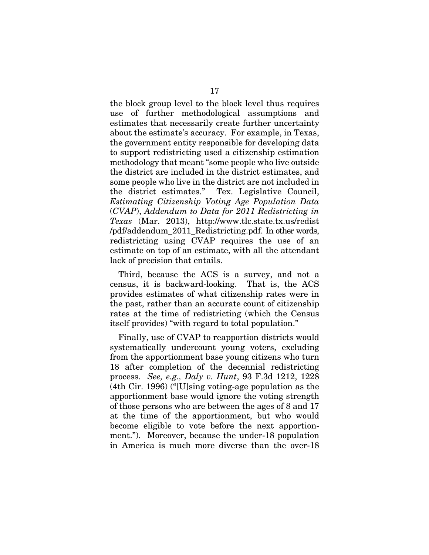the block group level to the block level thus requires use of further methodological assumptions and estimates that necessarily create further uncertainty about the estimate's accuracy. For example, in Texas, the government entity responsible for developing data to support redistricting used a citizenship estimation methodology that meant "some people who live outside the district are included in the district estimates, and some people who live in the district are not included in the district estimates." Tex. Legislative Council, *Estimating Citizenship Voting Age Population Data*  (*CVAP*), *Addendum to Data for 2011 Redistricting in Texas* (Mar. 2013), http://www.tlc.state.tx.us/redist /pdf/addendum\_2011\_Redistricting.pdf. In other words, redistricting using CVAP requires the use of an estimate on top of an estimate, with all the attendant lack of precision that entails.

Third, because the ACS is a survey, and not a census, it is backward-looking. That is, the ACS provides estimates of what citizenship rates were in the past, rather than an accurate count of citizenship rates at the time of redistricting (which the Census itself provides) "with regard to total population."

Finally, use of CVAP to reapportion districts would systematically undercount young voters, excluding from the apportionment base young citizens who turn 18 after completion of the decennial redistricting process. *See, e.g., Daly v. Hunt*, 93 F.3d 1212, 1228 (4th Cir. 1996) ("[U]sing voting-age population as the apportionment base would ignore the voting strength of those persons who are between the ages of 8 and 17 at the time of the apportionment, but who would become eligible to vote before the next apportionment."). Moreover, because the under-18 population in America is much more diverse than the over-18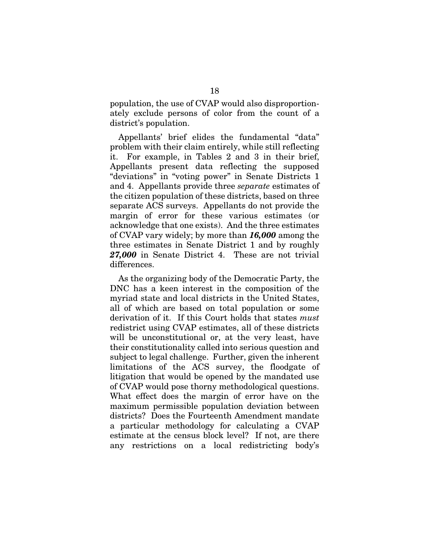population, the use of CVAP would also disproportionately exclude persons of color from the count of a district's population.

Appellants' brief elides the fundamental "data" problem with their claim entirely, while still reflecting it. For example, in Tables 2 and 3 in their brief, Appellants present data reflecting the supposed "deviations" in "voting power" in Senate Districts 1 and 4. Appellants provide three *separate* estimates of the citizen population of these districts, based on three separate ACS surveys. Appellants do not provide the margin of error for these various estimates (or acknowledge that one exists). And the three estimates of CVAP vary widely; by more than *16,000* among the three estimates in Senate District 1 and by roughly *27,000* in Senate District 4. These are not trivial differences.

As the organizing body of the Democratic Party, the DNC has a keen interest in the composition of the myriad state and local districts in the United States, all of which are based on total population or some derivation of it. If this Court holds that states *must*  redistrict using CVAP estimates, all of these districts will be unconstitutional or, at the very least, have their constitutionality called into serious question and subject to legal challenge. Further, given the inherent limitations of the ACS survey, the floodgate of litigation that would be opened by the mandated use of CVAP would pose thorny methodological questions. What effect does the margin of error have on the maximum permissible population deviation between districts? Does the Fourteenth Amendment mandate a particular methodology for calculating a CVAP estimate at the census block level? If not, are there any restrictions on a local redistricting body's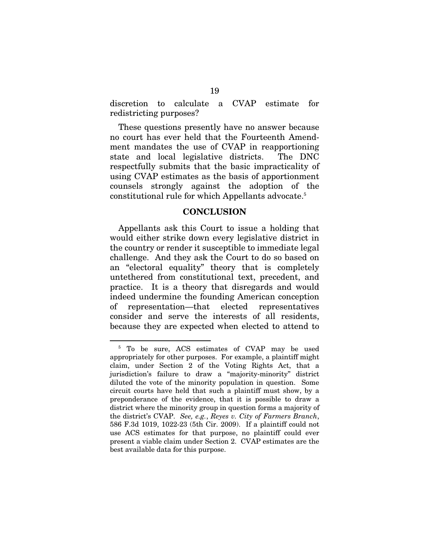discretion to calculate a CVAP estimate for redistricting purposes?

These questions presently have no answer because no court has ever held that the Fourteenth Amendment mandates the use of CVAP in reapportioning state and local legislative districts. The DNC respectfully submits that the basic impracticality of using CVAP estimates as the basis of apportionment counsels strongly against the adoption of the constitutional rule for which Appellants advocate.5

#### **CONCLUSION**

Appellants ask this Court to issue a holding that would either strike down every legislative district in the country or render it susceptible to immediate legal challenge. And they ask the Court to do so based on an "electoral equality" theory that is completely untethered from constitutional text, precedent, and practice. It is a theory that disregards and would indeed undermine the founding American conception of representation—that elected representatives consider and serve the interests of all residents, because they are expected when elected to attend to

<sup>5</sup> To be sure, ACS estimates of CVAP may be used appropriately for other purposes. For example, a plaintiff might claim, under Section 2 of the Voting Rights Act, that a jurisdiction's failure to draw a "majority-minority" district diluted the vote of the minority population in question. Some circuit courts have held that such a plaintiff must show, by a preponderance of the evidence, that it is possible to draw a district where the minority group in question forms a majority of the district's CVAP. *See, e.g.*, *Reyes v. City of Farmers Branch*, 586 F.3d 1019, 1022-23 (5th Cir. 2009). If a plaintiff could not use ACS estimates for that purpose, no plaintiff could ever present a viable claim under Section 2. CVAP estimates are the best available data for this purpose.